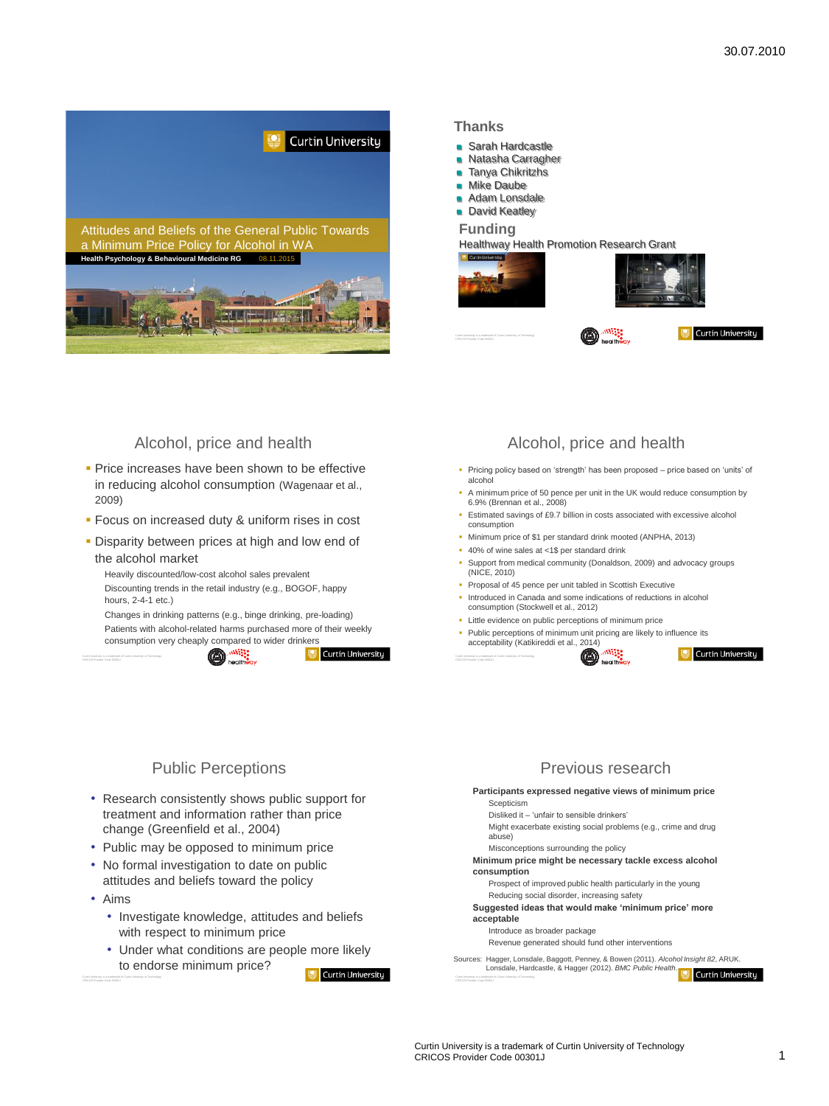

### **Thanks**

- Sarah Hardcastle
- **Natasha Carragher**
- **Tanya Chikritzhs**
- **Mike Daube**
- **Adam Lonsdale**
- **David Keatley**

#### **Funding**

Healthway Health Promotion Research Grant







#### **Curtin University**

## Alcohol, price and health

- **Price increases have been shown to be effective** in reducing alcohol consumption (Wagenaar et al., 2009)
- **Focus on increased duty & uniform rises in cost**
- **-** Disparity between prices at high and low end of the alcohol market
	- Heavily discounted/low-cost alcohol sales prevalent Discounting trends in the retail industry (e.g., BOGOF, happy hours, 2-4-1 etc.)

Changes in drinking patterns (e.g., binge drinking, pre-loading) Patients with alcohol-related harms purchased more of their weekly consumption very cheaply compared to wider drinkers<br> **Compared to wider drinkers** 



**Curtin University** 

# Alcohol, price and health

- Pricing policy based on 'strength' has been proposed price based on 'units' of alcoho
- A minimum price of 50 pence per unit in the UK would reduce consumption by 6.9% (Brennan et al., 2008)
- Estimated savings of £9.7 billion in costs associated with excessive alcohol consumption
- Minimum price of \$1 per standard drink mooted (ANPHA, 2013)
- 40% of wine sales at <1\$ per standard drink
- Support from medical community (Donaldson, 2009) and advocacy groups (NICE, 2010)
- **Proposal of 45 pence per unit tabled in Scottish Executive**
- **Introduced in Canada and some indications of reductions in alcohol** consumption (Stockwell et al., 2012)
- Little evidence on public perceptions of minimum price **Public perceptions of minimum unit pricing are likely to influence its** acceptability (Katikireddi et al., 2014)





### Public Perceptions

- Research consistently shows public support for treatment and information rather than price change (Greenfield et al., 2004)
- Public may be opposed to minimum price
- No formal investigation to date on public attitudes and beliefs toward the policy
- Aims
	- Investigate knowledge, attitudes and beliefs with respect to minimum price
	- Under what conditions are people more likely to endorse minimum price? **Curtin University**

## Previous research